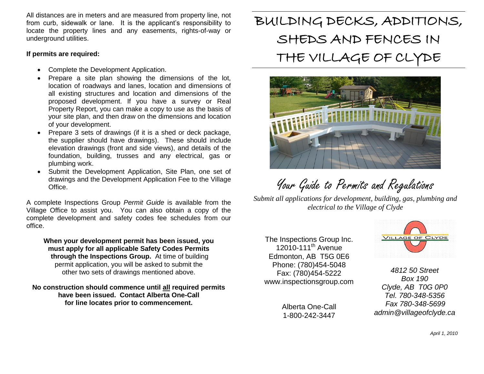All distances are in meters and are measured from property line, not from curb, sidewalk or lane. It is the applicant's responsibility to locate the property lines and any easements, rights-of-way or underground utilities.

### **If permits are required:**

- Complete the Development Application.
- Prepare a site plan showing the dimensions of the lot, location of roadways and lanes, location and dimensions of all existing structures and location and dimensions of the proposed development. If you have a survey or Real Property Report, you can make a copy to use as the basis of your site plan, and then draw on the dimensions and location of your development.
- Prepare 3 sets of drawings (if it is a shed or deck package, the supplier should have drawings). These should include elevation drawings (front and side views), and details of the foundation, building, trusses and any electrical, gas or plumbing work.
- Submit the Development Application, Site Plan, one set of drawings and the Development Application Fee to the Village Office.

A complete Inspections Group *Permit Guide* is available from the Village Office to assist you. You can also obtain a copy of the complete development and safety codes fee schedules from our office.

**When your development permit has been issued, you must apply for all applicable Safety Codes Permits through the Inspections Group.** At time of building permit application, you will be asked to submit the other two sets of drawings mentioned above.

**No construction should commence until all required permits have been issued. Contact Alberta One-Call for line locates prior to commencement.**

# BUILDING DECKS, ADDITIONS, SHEDS AND FENCES IN THE VILLAGE OF CLYDE



Your Guide to Permits and Regulations

*Submit all applications for development, building, gas, plumbing and electrical to the Village of Clyde*

The Inspections Group Inc.  $12010-111^{th}$  Avenue Edmonton, AB T5G 0E6 Phone: (780)454-5048 Fax: (780)454-5222 www.inspectionsgroup.com

> Alberta One-Call 1-800-242-3447



*4812 50 Street Box 190 Clyde, AB T0G 0P0 Tel. 780-348-5356 Fax 780-348-5699 admin@villageofclyde.ca*